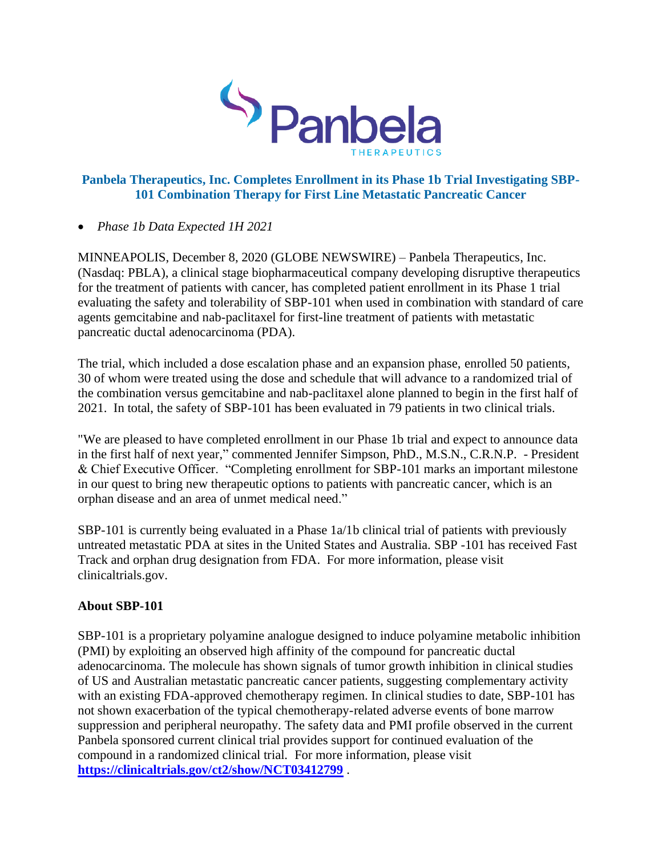

# **Panbela Therapeutics, Inc. Completes Enrollment in its Phase 1b Trial Investigating SBP-101 Combination Therapy for First Line Metastatic Pancreatic Cancer**

## • *Phase 1b Data Expected 1H 2021*

MINNEAPOLIS, December 8, 2020 (GLOBE NEWSWIRE) – Panbela Therapeutics, Inc. (Nasdaq: PBLA), a clinical stage biopharmaceutical company developing disruptive therapeutics for the treatment of patients with cancer, has completed patient enrollment in its Phase 1 trial evaluating the safety and tolerability of SBP-101 when used in combination with standard of care agents gemcitabine and nab-paclitaxel for first-line treatment of patients with metastatic pancreatic ductal adenocarcinoma (PDA).

The trial, which included a dose escalation phase and an expansion phase, enrolled 50 patients, 30 of whom were treated using the dose and schedule that will advance to a randomized trial of the combination versus gemcitabine and nab-paclitaxel alone planned to begin in the first half of 2021. In total, the safety of SBP-101 has been evaluated in 79 patients in two clinical trials.

"We are pleased to have completed enrollment in our Phase 1b trial and expect to announce data in the first half of next year," commented Jennifer Simpson, PhD., M.S.N., C.R.N.P. - President & Chief Executive Officer. "Completing enrollment for SBP-101 marks an important milestone in our quest to bring new therapeutic options to patients with pancreatic cancer, which is an orphan disease and an area of unmet medical need."

SBP-101 is currently being evaluated in a Phase 1a/1b clinical trial of patients with previously untreated metastatic PDA at sites in the United States and Australia. SBP -101 has received Fast Track and orphan drug designation from FDA. For more information, please visit clinicaltrials.gov.

## **About SBP-101**

SBP-101 is a proprietary polyamine analogue designed to induce polyamine metabolic inhibition (PMI) by exploiting an observed high affinity of the compound for pancreatic ductal adenocarcinoma. The molecule has shown signals of tumor growth inhibition in clinical studies of US and Australian metastatic pancreatic cancer patients, suggesting complementary activity with an existing FDA-approved chemotherapy regimen. In clinical studies to date, SBP-101 has not shown exacerbation of the typical chemotherapy-related adverse events of bone marrow suppression and peripheral neuropathy. The safety data and PMI profile observed in the current Panbela sponsored current clinical trial provides support for continued evaluation of the compound in a randomized clinical trial. For more information, please visit **<https://clinicaltrials.gov/ct2/show/NCT03412799>** .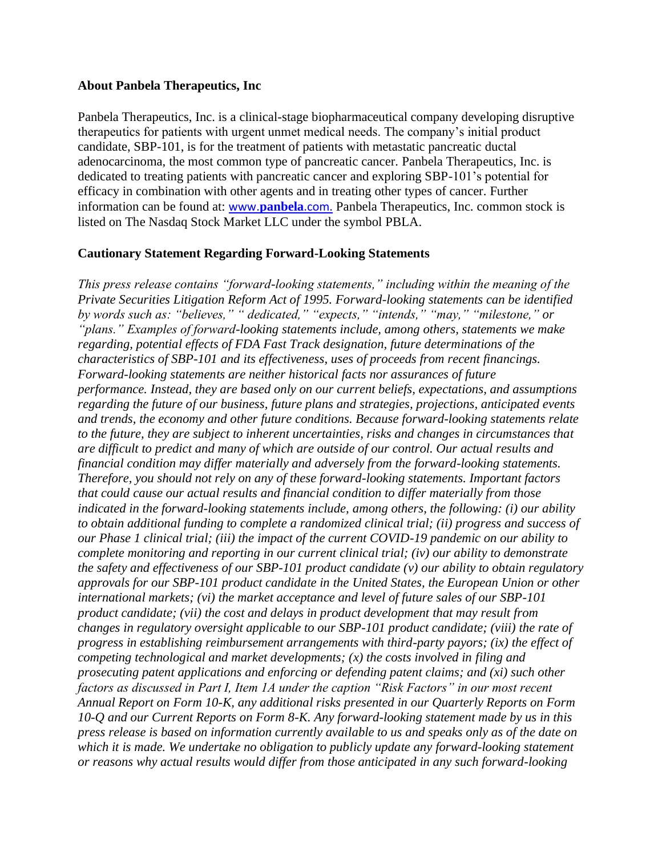#### **About Panbela Therapeutics, Inc**

Panbela Therapeutics, Inc. is a clinical-stage biopharmaceutical company developing disruptive therapeutics for patients with urgent unmet medical needs. The company's initial product candidate, SBP-101, is for the treatment of patients with metastatic pancreatic ductal adenocarcinoma, the most common type of pancreatic cancer. Panbela Therapeutics, Inc. is dedicated to treating patients with pancreatic cancer and exploring SBP-101's potential for efficacy in combination with other agents and in treating other types of cancer. Further information can be found at: www.**[panbela](http://www.panbela.com/)**.com. Panbela Therapeutics, Inc. common stock is listed on The Nasdaq Stock Market LLC under the symbol PBLA.

#### **Cautionary Statement Regarding Forward-Looking Statements**

*This press release contains "forward-looking statements," including within the meaning of the Private Securities Litigation Reform Act of 1995. Forward-looking statements can be identified by words such as: "believes," " dedicated," "expects," "intends," "may," "milestone," or "plans." Examples of forward-looking statements include, among others, statements we make regarding, potential effects of FDA Fast Track designation, future determinations of the characteristics of SBP-101 and its effectiveness, uses of proceeds from recent financings. Forward-looking statements are neither historical facts nor assurances of future performance. Instead, they are based only on our current beliefs, expectations, and assumptions regarding the future of our business, future plans and strategies, projections, anticipated events and trends, the economy and other future conditions. Because forward-looking statements relate to the future, they are subject to inherent uncertainties, risks and changes in circumstances that are difficult to predict and many of which are outside of our control. Our actual results and financial condition may differ materially and adversely from the forward-looking statements. Therefore, you should not rely on any of these forward-looking statements. Important factors that could cause our actual results and financial condition to differ materially from those indicated in the forward-looking statements include, among others, the following: (i) our ability to obtain additional funding to complete a randomized clinical trial; (ii) progress and success of our Phase 1 clinical trial; (iii) the impact of the current COVID-19 pandemic on our ability to complete monitoring and reporting in our current clinical trial; (iv) our ability to demonstrate the safety and effectiveness of our SBP-101 product candidate (v) our ability to obtain regulatory approvals for our SBP-101 product candidate in the United States, the European Union or other international markets; (vi) the market acceptance and level of future sales of our SBP-101 product candidate; (vii) the cost and delays in product development that may result from changes in regulatory oversight applicable to our SBP-101 product candidate; (viii) the rate of progress in establishing reimbursement arrangements with third-party payors; (ix) the effect of competing technological and market developments; (x) the costs involved in filing and prosecuting patent applications and enforcing or defending patent claims; and (xi) such other factors as discussed in Part I, Item 1A under the caption "Risk Factors" in our most recent Annual Report on Form 10-K, any additional risks presented in our Quarterly Reports on Form 10-Q and our Current Reports on Form 8-K. Any forward-looking statement made by us in this press release is based on information currently available to us and speaks only as of the date on which it is made. We undertake no obligation to publicly update any forward-looking statement or reasons why actual results would differ from those anticipated in any such forward-looking*